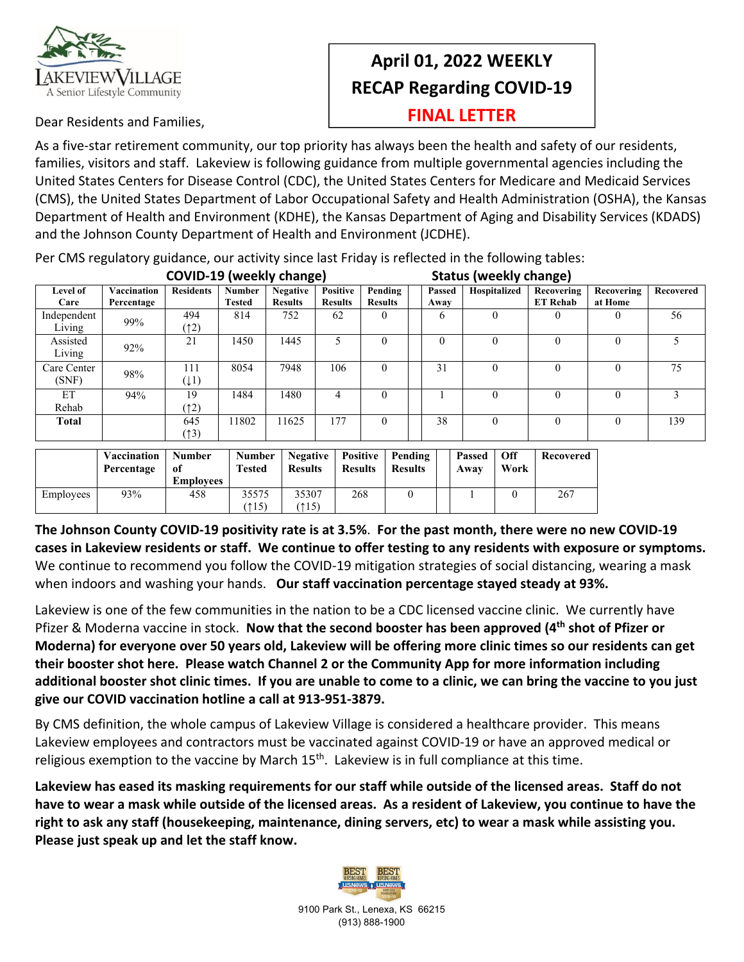

## **April 01, 2022 WEEKLY RECAP Regarding COVID‐19**

**FINAL LETTER**

Dear Residents and Families,

As a five‐star retirement community, our top priority has always been the health and safety of our residents, families, visitors and staff. Lakeview is following guidance from multiple governmental agencies including the United States Centers for Disease Control (CDC), the United States Centers for Medicare and Medicaid Services (CMS), the United States Department of Labor Occupational Safety and Health Administration (OSHA), the Kansas Department of Health and Environment (KDHE), the Kansas Department of Aging and Disability Services (KDADS) and the Johnson County Department of Health and Environment (JCDHE).

Per CMS regulatory guidance, our activity since last Friday is reflected in the following tables:<br>And the section of the state of the section of the section of the state of the state of the section of the sta

| COVID-19 (weekly change) |                           |                  |                                |                                   |                                   | <b>Status (weekly change)</b> |  |                |              |                               |                       |           |  |  |
|--------------------------|---------------------------|------------------|--------------------------------|-----------------------------------|-----------------------------------|-------------------------------|--|----------------|--------------|-------------------------------|-----------------------|-----------|--|--|
| Level of<br>Care         | Vaccination<br>Percentage | <b>Residents</b> | <b>Number</b><br><b>Tested</b> | <b>Negative</b><br><b>Results</b> | <b>Positive</b><br><b>Results</b> | Pending<br><b>Results</b>     |  | Passed<br>Away | Hospitalized | Recovering<br><b>ET Rehab</b> | Recovering<br>at Home | Recovered |  |  |
| Independent<br>Living    | 99%                       | 494<br>(12)      | 814                            | 752                               | 62                                | 0                             |  | 6              |              | $\bf{0}$                      |                       | 56        |  |  |
| Assisted<br>Living       | 92%                       | 21               | 1450                           | 1445                              |                                   | 0                             |  | $\Omega$       | $\Omega$     | $\theta$                      |                       |           |  |  |
| Care Center<br>(SNF)     | 98%                       | 111<br>(11)      | 8054                           | 7948                              | 106                               | 0                             |  | 31             | $\theta$     | $\theta$                      |                       | 75        |  |  |
| ET<br>Rehab              | 94%                       | 19<br>(12)       | 1484                           | 1480                              | 4                                 | $\theta$                      |  |                |              | $\theta$                      |                       | 3         |  |  |
| <b>Total</b>             |                           | 645<br>(13)      | 11802                          | 11625                             | 177                               | $\theta$                      |  | 38             | $\Omega$     | $\theta$                      | 0                     | 139       |  |  |

|           | Vaccination<br>Percentage | Number<br>-01<br><b>Employees</b> | <b>Number</b><br>Tested | Negative<br><b>Results</b> | <b>Results</b> | Positive   Pending<br><b>Results</b> | Passed<br>Awav | Off<br>Work | Recovered |
|-----------|---------------------------|-----------------------------------|-------------------------|----------------------------|----------------|--------------------------------------|----------------|-------------|-----------|
| Employees | 93%                       | 458                               | 35575<br>(115)          | 35307<br>(115)             | 268            |                                      |                |             | 267       |

The Johnson County COVID-19 positivity rate is at 3.5%. For the past month, there were no new COVID-19 cases in Lakeview residents or staff. We continue to offer testing to any residents with exposure or symptoms. We continue to recommend you follow the COVID-19 mitigation strategies of social distancing, wearing a mask when indoors and washing your hands. **Our staff vaccination percentage stayed steady at 93%.**

Lakeview is one of the few communities in the nation to be a CDC licensed vaccine clinic. We currently have Pfizer & Moderna vaccine in stock. **Now that the second booster has been approved (4th shot of Pfizer or** Moderna) for everyone over 50 years old, Lakeview will be offering more clinic times so our residents can get **their booster shot here. Please watch Channel 2 or the Community App for more information including** additional booster shot clinic times. If you are unable to come to a clinic, we can bring the vaccine to you just **give our COVID vaccination hotline a call at 913‐951‐3879.** 

By CMS definition, the whole campus of Lakeview Village is considered a healthcare provider. This means Lakeview employees and contractors must be vaccinated against COVID‐19 or have an approved medical or religious exemption to the vaccine by March  $15<sup>th</sup>$ . Lakeview is in full compliance at this time.

Lakeview has eased its masking requirements for our staff while outside of the licensed areas. Staff do not have to wear a mask while outside of the licensed areas. As a resident of Lakeview, you continue to have the right to ask any staff (housekeeping, maintenance, dining servers, etc) to wear a mask while assisting you. **Please just speak up and let the staff know.**